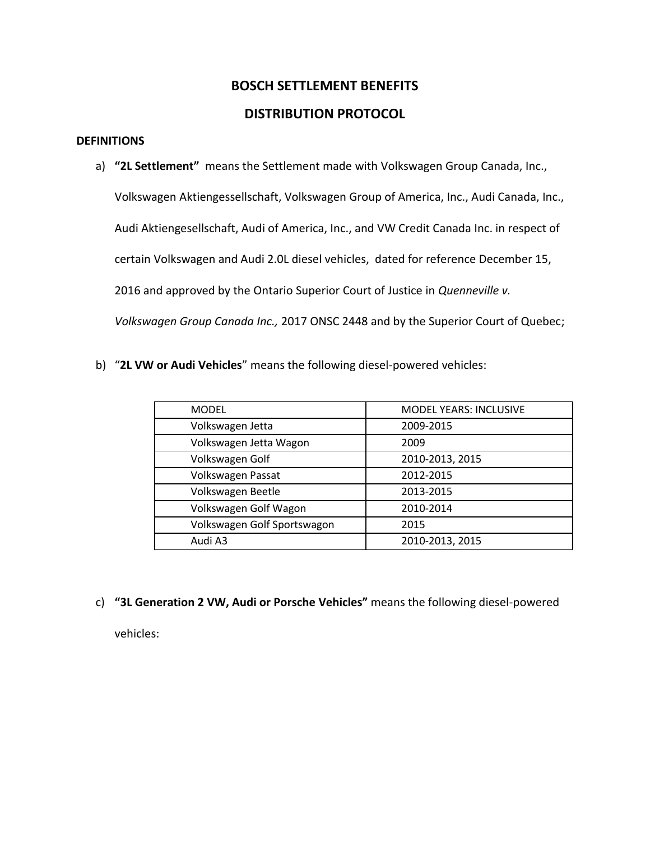# **BOSCH SETTLEMENT BENEFITS**

# **DISTRIBUTION PROTOCOL**

# **DEFINITIONS**

a) **"2L Settlement"** means the Settlement made with Volkswagen Group Canada, Inc.,

Volkswagen Aktiengessellschaft, Volkswagen Group of America, Inc., Audi Canada, Inc., Audi Aktiengesellschaft, Audi of America, Inc., and VW Credit Canada Inc. in respect of certain Volkswagen and Audi 2.0L diesel vehicles, dated for reference December 15, 2016 and approved by the Ontario Superior Court of Justice in *Quenneville v. Volkswagen Group Canada Inc.,* 2017 ONSC 2448 and by the Superior Court of Quebec;

b) "**2L VW or Audi Vehicles**" means the following diesel-powered vehicles:

| <b>MODEL</b>                | <b>MODEL YEARS: INCLUSIVE</b> |
|-----------------------------|-------------------------------|
| Volkswagen Jetta            | 2009-2015                     |
| Volkswagen Jetta Wagon      | 2009                          |
| Volkswagen Golf             | 2010-2013, 2015               |
| Volkswagen Passat           | 2012-2015                     |
| Volkswagen Beetle           | 2013-2015                     |
| Volkswagen Golf Wagon       | 2010-2014                     |
| Volkswagen Golf Sportswagon | 2015                          |
| Audi A3                     | 2010-2013, 2015               |

c) **"3L Generation 2 VW, Audi or Porsche Vehicles"** means the following diesel-powered

vehicles: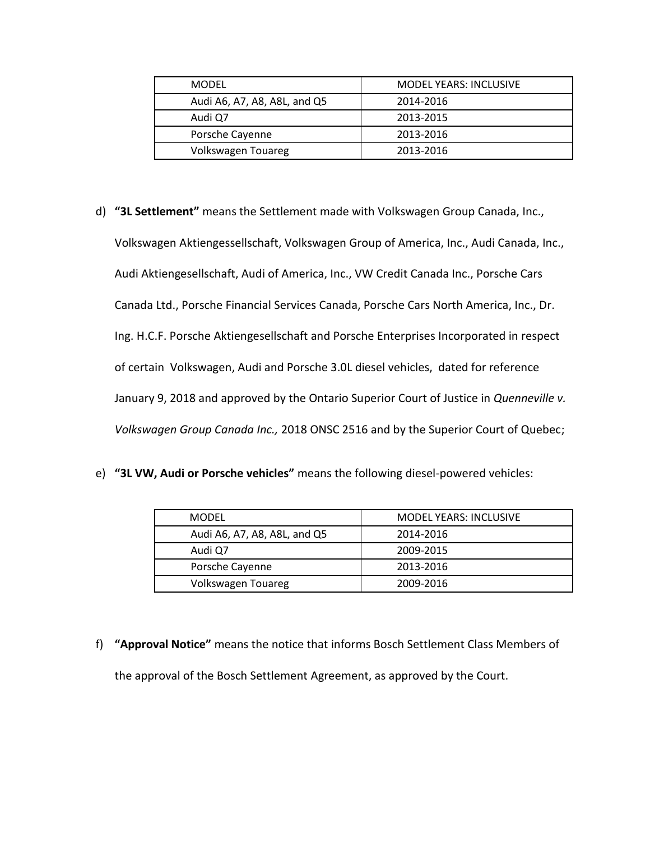| <b>MODEL</b>                 | <b>MODEL YEARS: INCLUSIVE</b> |
|------------------------------|-------------------------------|
| Audi A6, A7, A8, A8L, and Q5 | 2014-2016                     |
| Audi Q7                      | 2013-2015                     |
| Porsche Cayenne              | 2013-2016                     |
| Volkswagen Touareg           | 2013-2016                     |

- d) **"3L Settlement"** means the Settlement made with Volkswagen Group Canada, Inc., Volkswagen Aktiengessellschaft, Volkswagen Group of America, Inc., Audi Canada, Inc., Audi Aktiengesellschaft, Audi of America, Inc., VW Credit Canada Inc., Porsche Cars Canada Ltd., Porsche Financial Services Canada, Porsche Cars North America, Inc., Dr. Ing. H.C.F. Porsche Aktiengesellschaft and Porsche Enterprises Incorporated in respect of certain Volkswagen, Audi and Porsche 3.0L diesel vehicles, dated for reference January 9, 2018 and approved by the Ontario Superior Court of Justice in *Quenneville v. Volkswagen Group Canada Inc.,* 2018 ONSC 2516 and by the Superior Court of Quebec;
- e) **"3L VW, Audi or Porsche vehicles"** means the following diesel-powered vehicles:

| <b>MODEL</b>                 | MODEL YEARS: INCLUSIVE |
|------------------------------|------------------------|
| Audi A6, A7, A8, A8L, and Q5 | 2014-2016              |
| Audi Q7                      | 2009-2015              |
| Porsche Cayenne              | 2013-2016              |
| Volkswagen Touareg           | 2009-2016              |

f) **"Approval Notice"** means the notice that informs Bosch Settlement Class Members of the approval of the Bosch Settlement Agreement, as approved by the Court.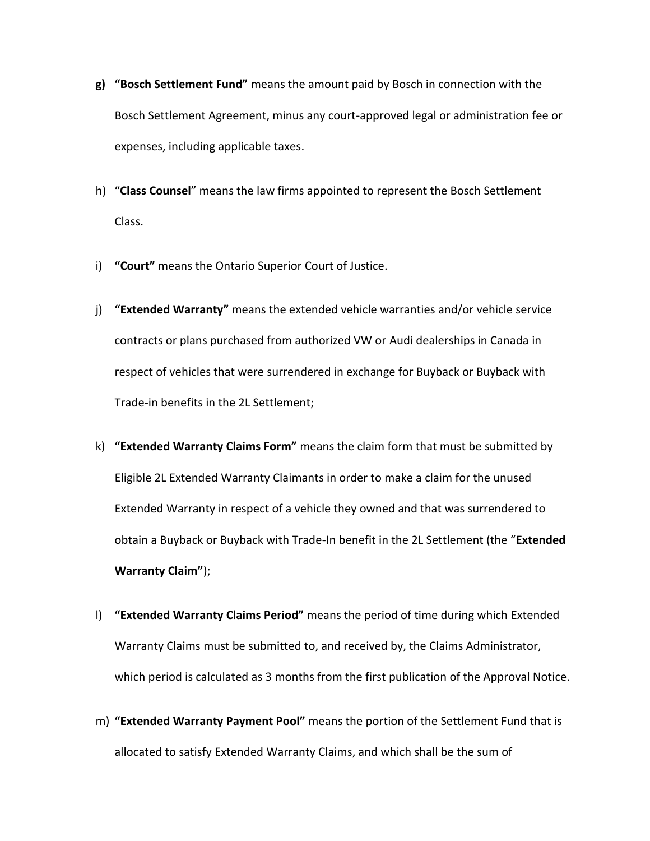- **g) "Bosch Settlement Fund"** means the amount paid by Bosch in connection with the Bosch Settlement Agreement, minus any court-approved legal or administration fee or expenses, including applicable taxes.
- h) "**Class Counsel**" means the law firms appointed to represent the Bosch Settlement Class.
- i) **"Court"** means the Ontario Superior Court of Justice.
- j) **"Extended Warranty"** means the extended vehicle warranties and/or vehicle service contracts or plans purchased from authorized VW or Audi dealerships in Canada in respect of vehicles that were surrendered in exchange for Buyback or Buyback with Trade-in benefits in the 2L Settlement;
- k) **"Extended Warranty Claims Form"** means the claim form that must be submitted by Eligible 2L Extended Warranty Claimants in order to make a claim for the unused Extended Warranty in respect of a vehicle they owned and that was surrendered to obtain a Buyback or Buyback with Trade-In benefit in the 2L Settlement (the "**Extended Warranty Claim"**);
- l) **"Extended Warranty Claims Period"** means the period of time during which Extended Warranty Claims must be submitted to, and received by, the Claims Administrator, which period is calculated as 3 months from the first publication of the Approval Notice.
- m) **"Extended Warranty Payment Pool"** means the portion of the Settlement Fund that is allocated to satisfy Extended Warranty Claims, and which shall be the sum of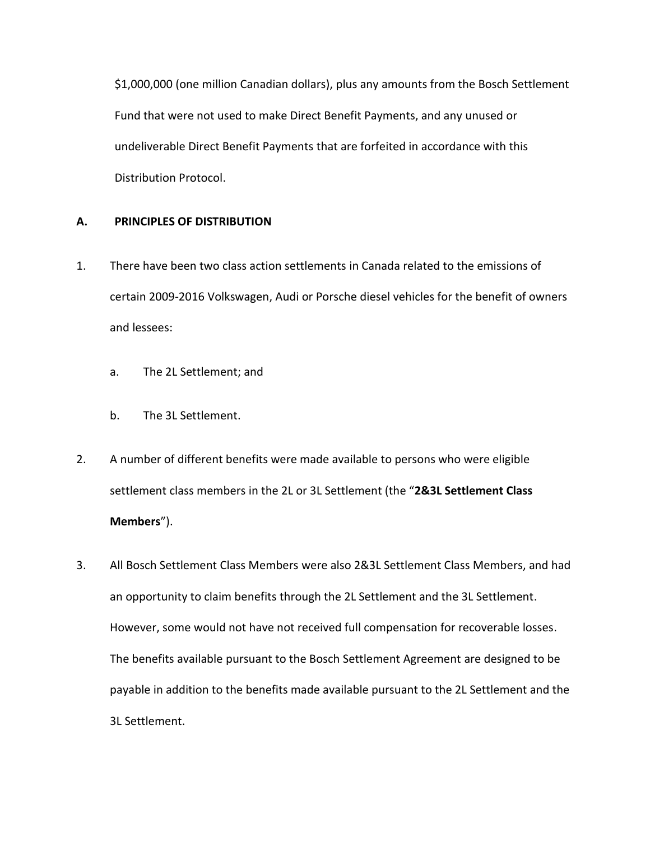\$1,000,000 (one million Canadian dollars), plus any amounts from the Bosch Settlement Fund that were not used to make Direct Benefit Payments, and any unused or undeliverable Direct Benefit Payments that are forfeited in accordance with this Distribution Protocol.

# **A. PRINCIPLES OF DISTRIBUTION**

- 1. There have been two class action settlements in Canada related to the emissions of certain 2009-2016 Volkswagen, Audi or Porsche diesel vehicles for the benefit of owners and lessees:
	- a. The 2L Settlement; and
	- b. The 3L Settlement.
- 2. A number of different benefits were made available to persons who were eligible settlement class members in the 2L or 3L Settlement (the "**2&3L Settlement Class Members**").
- 3. All Bosch Settlement Class Members were also 2&3L Settlement Class Members, and had an opportunity to claim benefits through the 2L Settlement and the 3L Settlement. However, some would not have not received full compensation for recoverable losses. The benefits available pursuant to the Bosch Settlement Agreement are designed to be payable in addition to the benefits made available pursuant to the 2L Settlement and the 3L Settlement.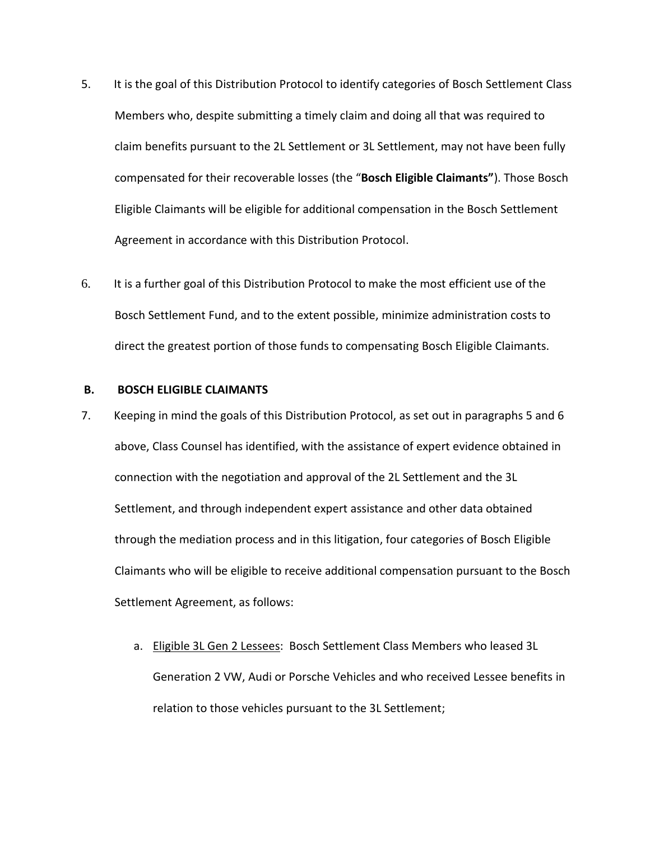- 5. It is the goal of this Distribution Protocol to identify categories of Bosch Settlement Class Members who, despite submitting a timely claim and doing all that was required to claim benefits pursuant to the 2L Settlement or 3L Settlement, may not have been fully compensated for their recoverable losses (the "**Bosch Eligible Claimants"**). Those Bosch Eligible Claimants will be eligible for additional compensation in the Bosch Settlement Agreement in accordance with this Distribution Protocol.
- 6. It is a further goal of this Distribution Protocol to make the most efficient use of the Bosch Settlement Fund, and to the extent possible, minimize administration costs to direct the greatest portion of those funds to compensating Bosch Eligible Claimants.

#### **B. BOSCH ELIGIBLE CLAIMANTS**

- 7. Keeping in mind the goals of this Distribution Protocol, as set out in paragraphs 5 and 6 above, Class Counsel has identified, with the assistance of expert evidence obtained in connection with the negotiation and approval of the 2L Settlement and the 3L Settlement, and through independent expert assistance and other data obtained through the mediation process and in this litigation, four categories of Bosch Eligible Claimants who will be eligible to receive additional compensation pursuant to the Bosch Settlement Agreement, as follows:
	- a. Eligible 3L Gen 2 Lessees: Bosch Settlement Class Members who leased 3L Generation 2 VW, Audi or Porsche Vehicles and who received Lessee benefits in relation to those vehicles pursuant to the 3L Settlement;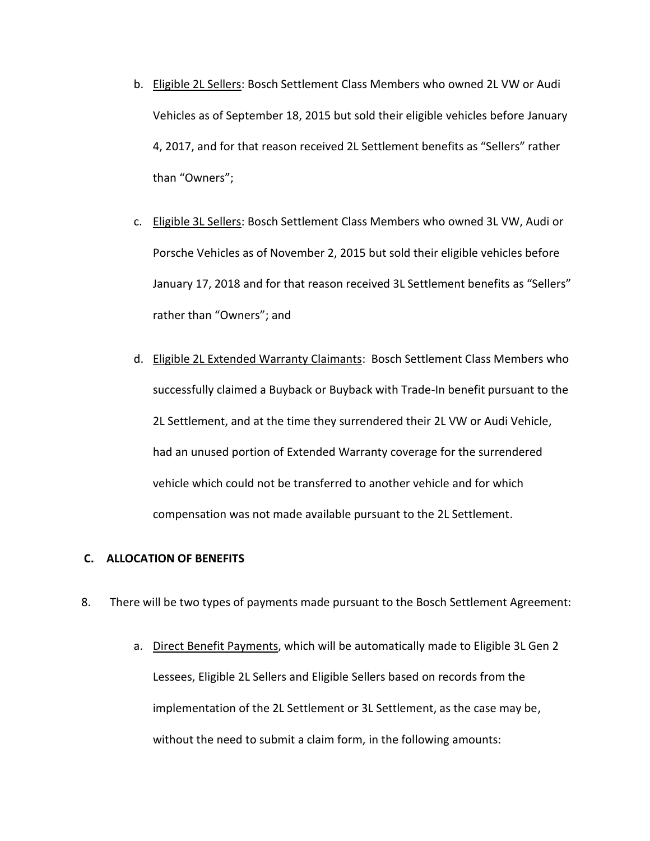- b. Eligible 2L Sellers: Bosch Settlement Class Members who owned 2L VW or Audi Vehicles as of September 18, 2015 but sold their eligible vehicles before January 4, 2017, and for that reason received 2L Settlement benefits as "Sellers" rather than "Owners";
- c. Eligible 3L Sellers: Bosch Settlement Class Members who owned 3L VW, Audi or Porsche Vehicles as of November 2, 2015 but sold their eligible vehicles before January 17, 2018 and for that reason received 3L Settlement benefits as "Sellers" rather than "Owners"; and
- d. Eligible 2L Extended Warranty Claimants: Bosch Settlement Class Members who successfully claimed a Buyback or Buyback with Trade-In benefit pursuant to the 2L Settlement, and at the time they surrendered their 2L VW or Audi Vehicle, had an unused portion of Extended Warranty coverage for the surrendered vehicle which could not be transferred to another vehicle and for which compensation was not made available pursuant to the 2L Settlement.

## **C. ALLOCATION OF BENEFITS**

- 8. There will be two types of payments made pursuant to the Bosch Settlement Agreement:
	- a. Direct Benefit Payments, which will be automatically made to Eligible 3L Gen 2 Lessees, Eligible 2L Sellers and Eligible Sellers based on records from the implementation of the 2L Settlement or 3L Settlement, as the case may be, without the need to submit a claim form, in the following amounts: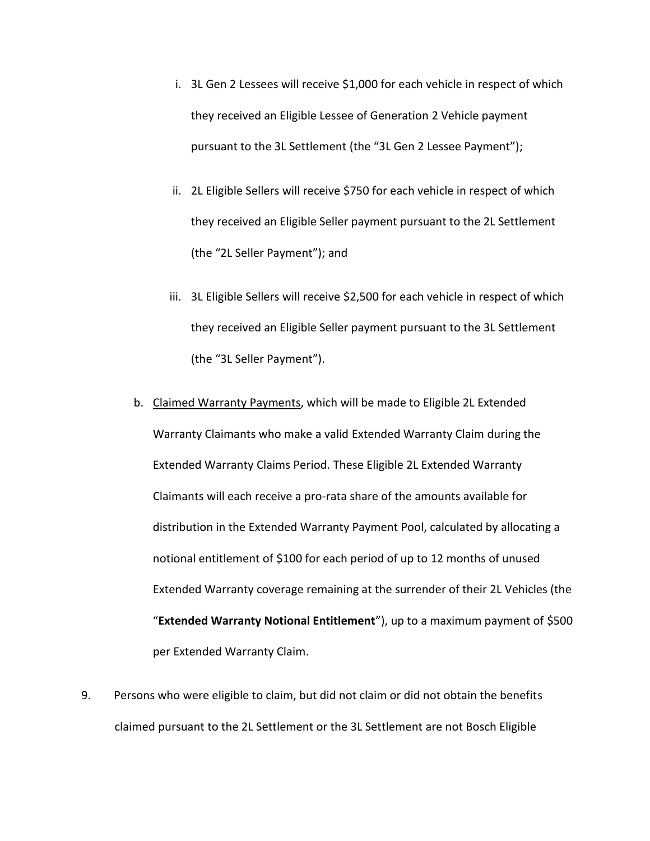- i. 3L Gen 2 Lessees will receive \$1,000 for each vehicle in respect of which they received an Eligible Lessee of Generation 2 Vehicle payment pursuant to the 3L Settlement (the "3L Gen 2 Lessee Payment");
- ii. 2L Eligible Sellers will receive \$750 for each vehicle in respect of which they received an Eligible Seller payment pursuant to the 2L Settlement (the "2L Seller Payment"); and
- iii. 3L Eligible Sellers will receive \$2,500 for each vehicle in respect of which they received an Eligible Seller payment pursuant to the 3L Settlement (the "3L Seller Payment").
- b. Claimed Warranty Payments, which will be made to Eligible 2L Extended Warranty Claimants who make a valid Extended Warranty Claim during the Extended Warranty Claims Period. These Eligible 2L Extended Warranty Claimants will each receive a pro-rata share of the amounts available for distribution in the Extended Warranty Payment Pool, calculated by allocating a notional entitlement of \$100 for each period of up to 12 months of unused Extended Warranty coverage remaining at the surrender of their 2L Vehicles (the "**Extended Warranty Notional Entitlement**"), up to a maximum payment of \$500 per Extended Warranty Claim.
- 9. Persons who were eligible to claim, but did not claim or did not obtain the benefits claimed pursuant to the 2L Settlement or the 3L Settlement are not Bosch Eligible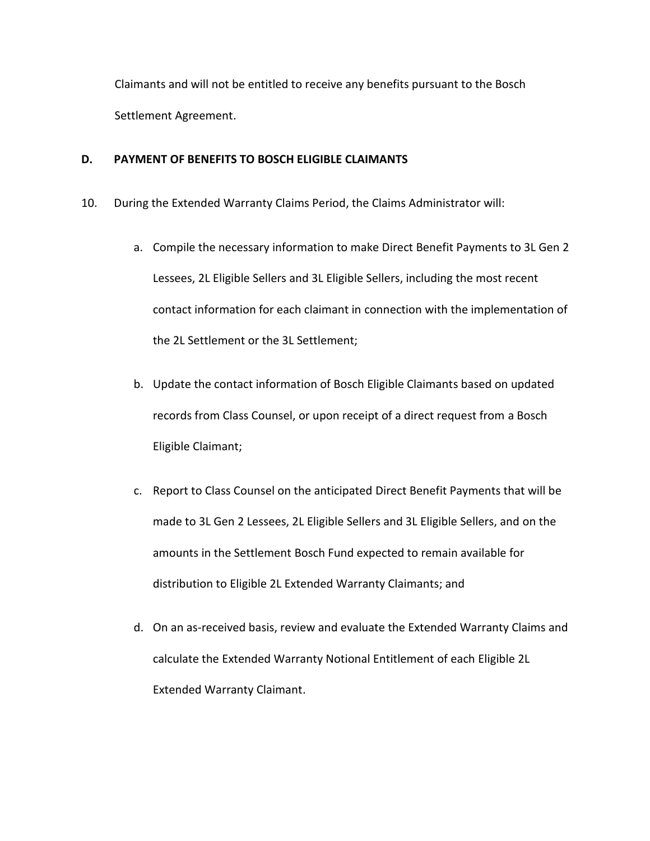Claimants and will not be entitled to receive any benefits pursuant to the Bosch Settlement Agreement.

# **D. PAYMENT OF BENEFITS TO BOSCH ELIGIBLE CLAIMANTS**

- 10. During the Extended Warranty Claims Period, the Claims Administrator will:
	- a. Compile the necessary information to make Direct Benefit Payments to 3L Gen 2 Lessees, 2L Eligible Sellers and 3L Eligible Sellers, including the most recent contact information for each claimant in connection with the implementation of the 2L Settlement or the 3L Settlement;
	- b. Update the contact information of Bosch Eligible Claimants based on updated records from Class Counsel, or upon receipt of a direct request from a Bosch Eligible Claimant;
	- c. Report to Class Counsel on the anticipated Direct Benefit Payments that will be made to 3L Gen 2 Lessees, 2L Eligible Sellers and 3L Eligible Sellers, and on the amounts in the Settlement Bosch Fund expected to remain available for distribution to Eligible 2L Extended Warranty Claimants; and
	- d. On an as-received basis, review and evaluate the Extended Warranty Claims and calculate the Extended Warranty Notional Entitlement of each Eligible 2L Extended Warranty Claimant.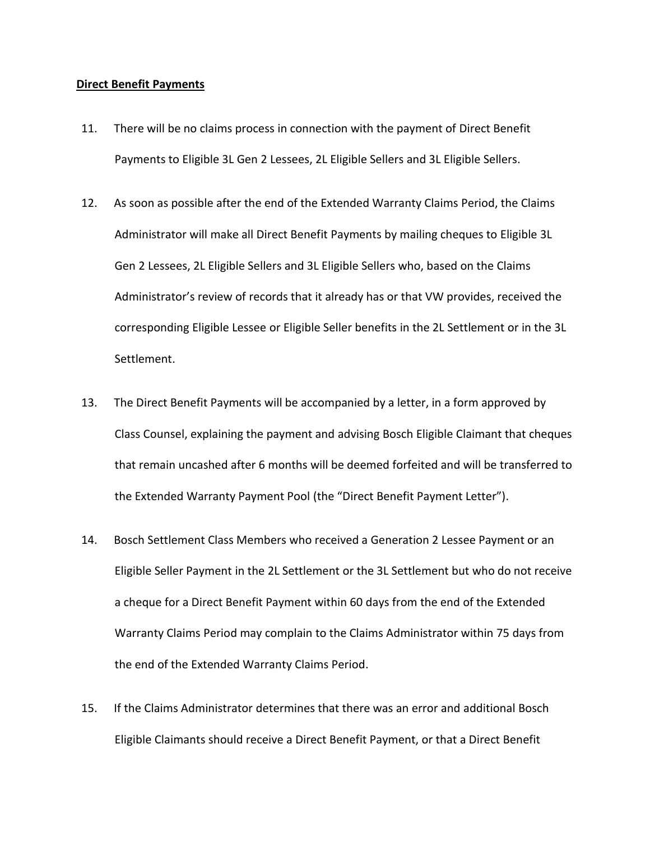#### **Direct Benefit Payments**

- 11. There will be no claims process in connection with the payment of Direct Benefit Payments to Eligible 3L Gen 2 Lessees, 2L Eligible Sellers and 3L Eligible Sellers.
- 12. As soon as possible after the end of the Extended Warranty Claims Period, the Claims Administrator will make all Direct Benefit Payments by mailing cheques to Eligible 3L Gen 2 Lessees, 2L Eligible Sellers and 3L Eligible Sellers who, based on the Claims Administrator's review of records that it already has or that VW provides, received the corresponding Eligible Lessee or Eligible Seller benefits in the 2L Settlement or in the 3L Settlement.
- 13. The Direct Benefit Payments will be accompanied by a letter, in a form approved by Class Counsel, explaining the payment and advising Bosch Eligible Claimant that cheques that remain uncashed after 6 months will be deemed forfeited and will be transferred to the Extended Warranty Payment Pool (the "Direct Benefit Payment Letter").
- 14. Bosch Settlement Class Members who received a Generation 2 Lessee Payment or an Eligible Seller Payment in the 2L Settlement or the 3L Settlement but who do not receive a cheque for a Direct Benefit Payment within 60 days from the end of the Extended Warranty Claims Period may complain to the Claims Administrator within 75 days from the end of the Extended Warranty Claims Period.
- 15. If the Claims Administrator determines that there was an error and additional Bosch Eligible Claimants should receive a Direct Benefit Payment, or that a Direct Benefit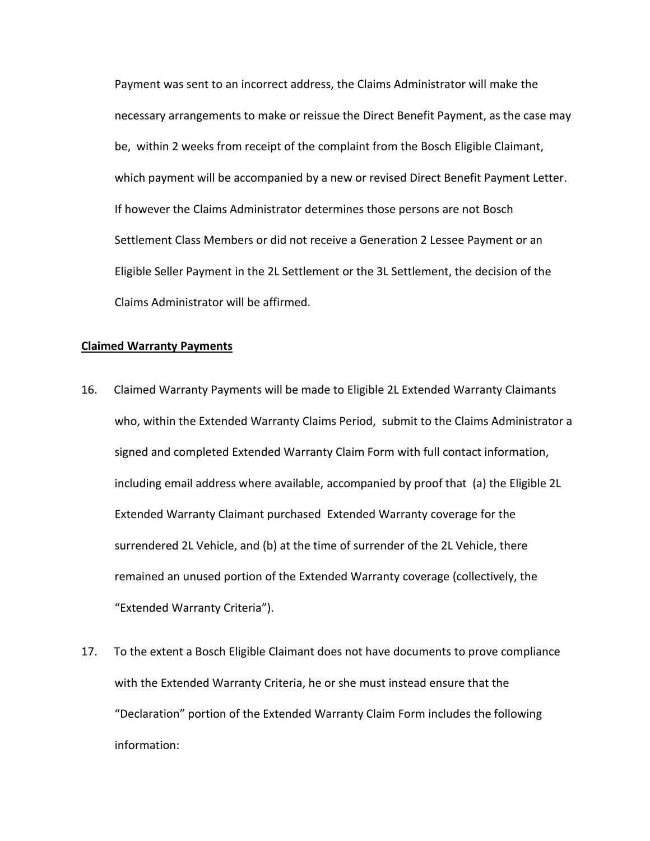Payment was sent to an incorrect address, the Claims Administrator will make the necessary arrangements to make or reissue the Direct Benefit Payment, as the case may be, within 2 weeks from receipt of the complaint from the Bosch Eligible Claimant, which payment will be accompanied by a new or revised Direct Benefit Payment Letter. If however the Claims Administrator determines those persons are not Bosch Settlement Class Members or did not receive a Generation 2 Lessee Payment or an Eligible Seller Payment in the 2L Settlement or the 3L Settlement, the decision of the Claims Administrator will be affirmed.

# **Claimed Warranty Payments**

- 16. Claimed Warranty Payments will be made to Eligible 2L Extended Warranty Claimants who, within the Extended Warranty Claims Period, submit to the Claims Administrator a signed and completed Extended Warranty Claim Form with full contact information, including email address where available, accompanied by proof that (a) the Eligible 2L Extended Warranty Claimant purchased Extended Warranty coverage for the surrendered 2L Vehicle, and (b) at the time of surrender of the 2L Vehicle, there remained an unused portion of the Extended Warranty coverage (collectively, the "Extended Warranty Criteria").
- 17. To the extent a Bosch Eligible Claimant does not have documents to prove compliance with the Extended Warranty Criteria, he or she must instead ensure that the "Declaration" portion of the Extended Warranty Claim Form includes the following information: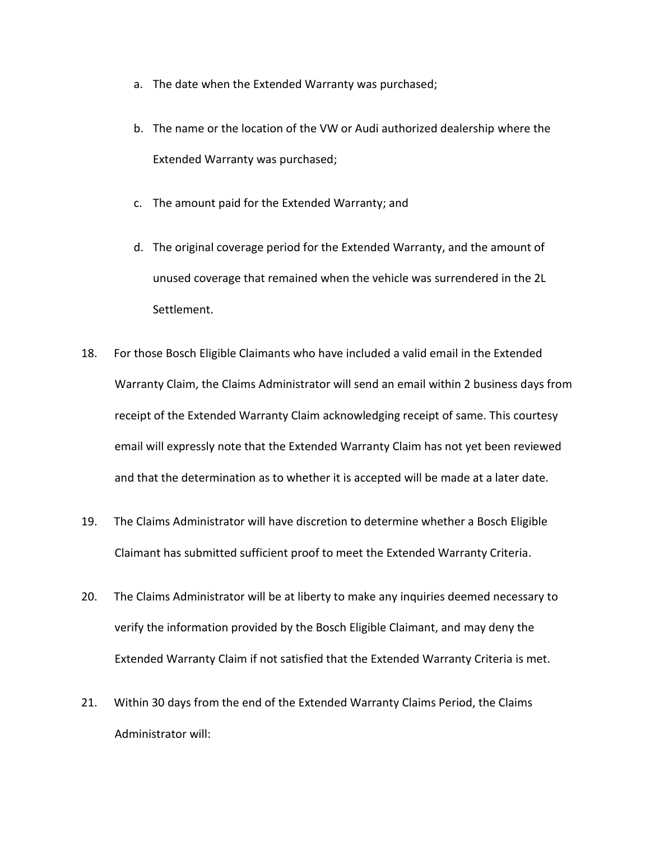- a. The date when the Extended Warranty was purchased;
- b. The name or the location of the VW or Audi authorized dealership where the Extended Warranty was purchased;
- c. The amount paid for the Extended Warranty; and
- d. The original coverage period for the Extended Warranty, and the amount of unused coverage that remained when the vehicle was surrendered in the 2L Settlement.
- 18. For those Bosch Eligible Claimants who have included a valid email in the Extended Warranty Claim, the Claims Administrator will send an email within 2 business days from receipt of the Extended Warranty Claim acknowledging receipt of same. This courtesy email will expressly note that the Extended Warranty Claim has not yet been reviewed and that the determination as to whether it is accepted will be made at a later date.
- 19. The Claims Administrator will have discretion to determine whether a Bosch Eligible Claimant has submitted sufficient proof to meet the Extended Warranty Criteria.
- 20. The Claims Administrator will be at liberty to make any inquiries deemed necessary to verify the information provided by the Bosch Eligible Claimant, and may deny the Extended Warranty Claim if not satisfied that the Extended Warranty Criteria is met.
- 21. Within 30 days from the end of the Extended Warranty Claims Period, the Claims Administrator will: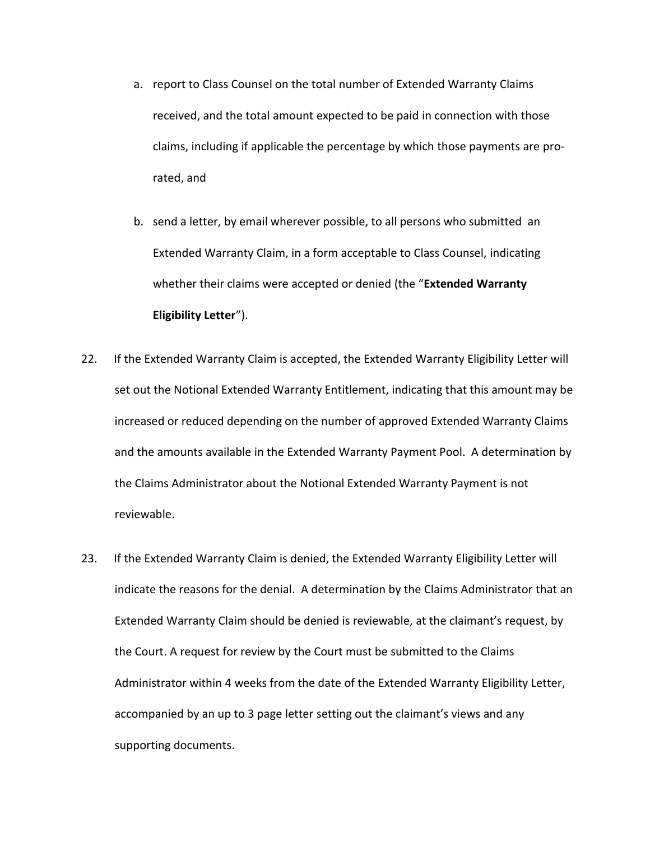- a. report to Class Counsel on the total number of Extended Warranty Claims received, and the total amount expected to be paid in connection with those claims, including if applicable the percentage by which those payments are prorated, and
- b. send a letter, by email wherever possible, to all persons who submitted an Extended Warranty Claim, in a form acceptable to Class Counsel, indicating whether their claims were accepted or denied (the "**Extended Warranty Eligibility Letter**").
- 22. If the Extended Warranty Claim is accepted, the Extended Warranty Eligibility Letter will set out the Notional Extended Warranty Entitlement, indicating that this amount may be increased or reduced depending on the number of approved Extended Warranty Claims and the amounts available in the Extended Warranty Payment Pool. A determination by the Claims Administrator about the Notional Extended Warranty Payment is not reviewable.
- 23. If the Extended Warranty Claim is denied, the Extended Warranty Eligibility Letter will indicate the reasons for the denial. A determination by the Claims Administrator that an Extended Warranty Claim should be denied is reviewable, at the claimant's request, by the Court. A request for review by the Court must be submitted to the Claims Administrator within 4 weeks from the date of the Extended Warranty Eligibility Letter, accompanied by an up to 3 page letter setting out the claimant's views and any supporting documents.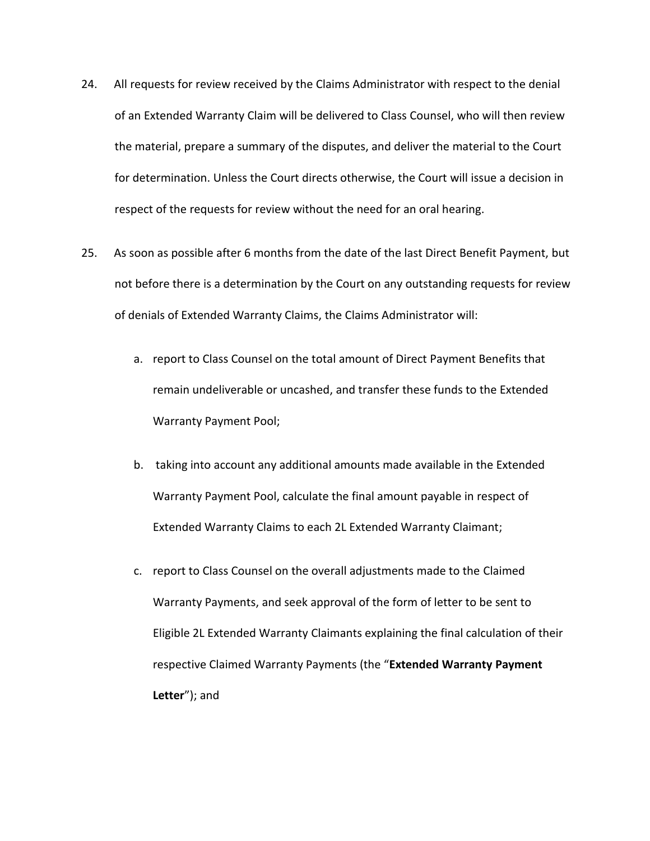- 24. All requests for review received by the Claims Administrator with respect to the denial of an Extended Warranty Claim will be delivered to Class Counsel, who will then review the material, prepare a summary of the disputes, and deliver the material to the Court for determination. Unless the Court directs otherwise, the Court will issue a decision in respect of the requests for review without the need for an oral hearing.
- 25. As soon as possible after 6 months from the date of the last Direct Benefit Payment, but not before there is a determination by the Court on any outstanding requests for review of denials of Extended Warranty Claims, the Claims Administrator will:
	- a. report to Class Counsel on the total amount of Direct Payment Benefits that remain undeliverable or uncashed, and transfer these funds to the Extended Warranty Payment Pool;
	- b. taking into account any additional amounts made available in the Extended Warranty Payment Pool, calculate the final amount payable in respect of Extended Warranty Claims to each 2L Extended Warranty Claimant;
	- c. report to Class Counsel on the overall adjustments made to the Claimed Warranty Payments, and seek approval of the form of letter to be sent to Eligible 2L Extended Warranty Claimants explaining the final calculation of their respective Claimed Warranty Payments (the "**Extended Warranty Payment Letter**"); and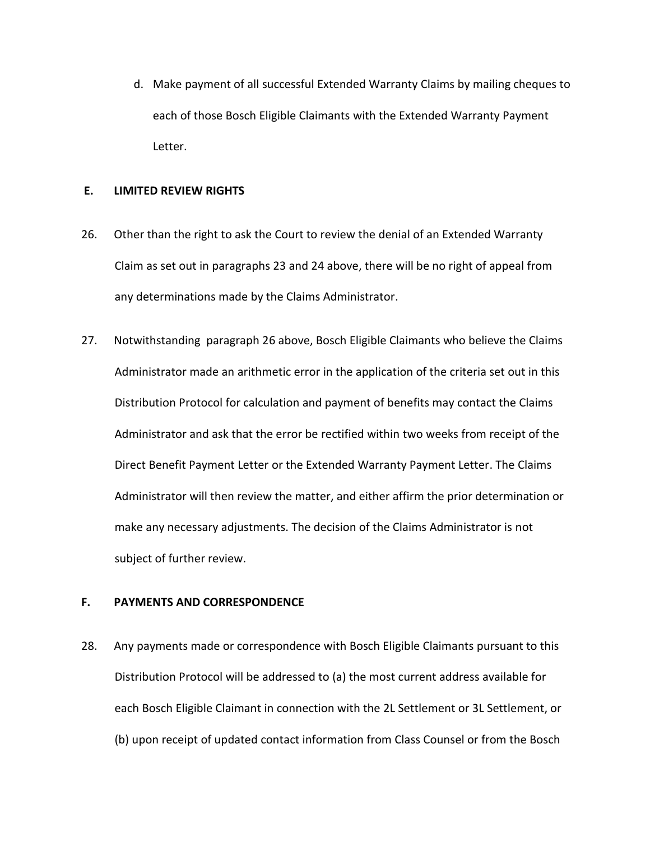d. Make payment of all successful Extended Warranty Claims by mailing cheques to each of those Bosch Eligible Claimants with the Extended Warranty Payment Letter.

# **E. LIMITED REVIEW RIGHTS**

- 26. Other than the right to ask the Court to review the denial of an Extended Warranty Claim as set out in paragraphs 23 and 24 above, there will be no right of appeal from any determinations made by the Claims Administrator.
- 27. Notwithstanding paragraph 26 above, Bosch Eligible Claimants who believe the Claims Administrator made an arithmetic error in the application of the criteria set out in this Distribution Protocol for calculation and payment of benefits may contact the Claims Administrator and ask that the error be rectified within two weeks from receipt of the Direct Benefit Payment Letter or the Extended Warranty Payment Letter. The Claims Administrator will then review the matter, and either affirm the prior determination or make any necessary adjustments. The decision of the Claims Administrator is not subject of further review.

# **F. PAYMENTS AND CORRESPONDENCE**

28. Any payments made or correspondence with Bosch Eligible Claimants pursuant to this Distribution Protocol will be addressed to (a) the most current address available for each Bosch Eligible Claimant in connection with the 2L Settlement or 3L Settlement, or (b) upon receipt of updated contact information from Class Counsel or from the Bosch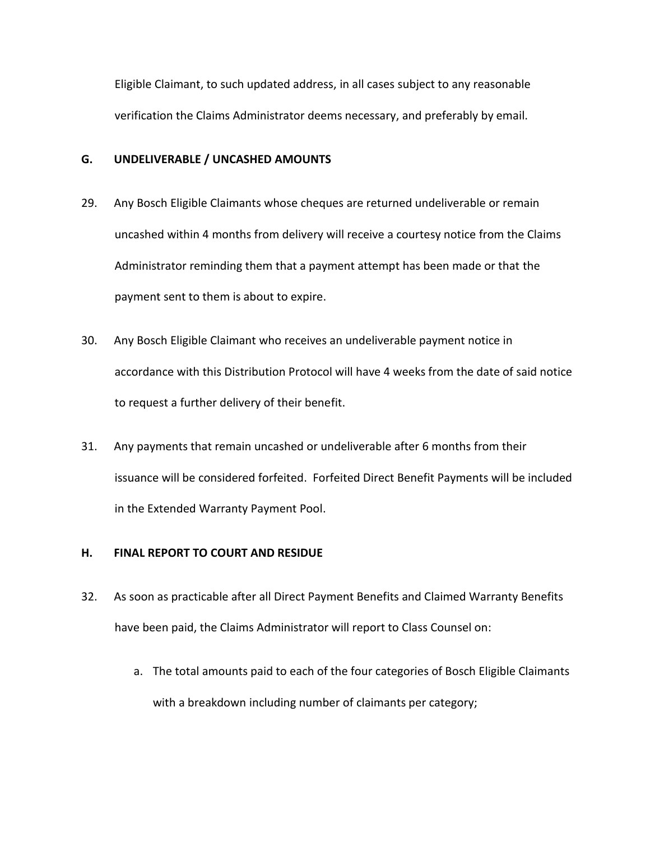Eligible Claimant, to such updated address, in all cases subject to any reasonable verification the Claims Administrator deems necessary, and preferably by email.

## **G. UNDELIVERABLE / UNCASHED AMOUNTS**

- 29. Any Bosch Eligible Claimants whose cheques are returned undeliverable or remain uncashed within 4 months from delivery will receive a courtesy notice from the Claims Administrator reminding them that a payment attempt has been made or that the payment sent to them is about to expire.
- 30. Any Bosch Eligible Claimant who receives an undeliverable payment notice in accordance with this Distribution Protocol will have 4 weeks from the date of said notice to request a further delivery of their benefit.
- 31. Any payments that remain uncashed or undeliverable after 6 months from their issuance will be considered forfeited. Forfeited Direct Benefit Payments will be included in the Extended Warranty Payment Pool.

# **H. FINAL REPORT TO COURT AND RESIDUE**

- 32. As soon as practicable after all Direct Payment Benefits and Claimed Warranty Benefits have been paid, the Claims Administrator will report to Class Counsel on:
	- a. The total amounts paid to each of the four categories of Bosch Eligible Claimants with a breakdown including number of claimants per category;